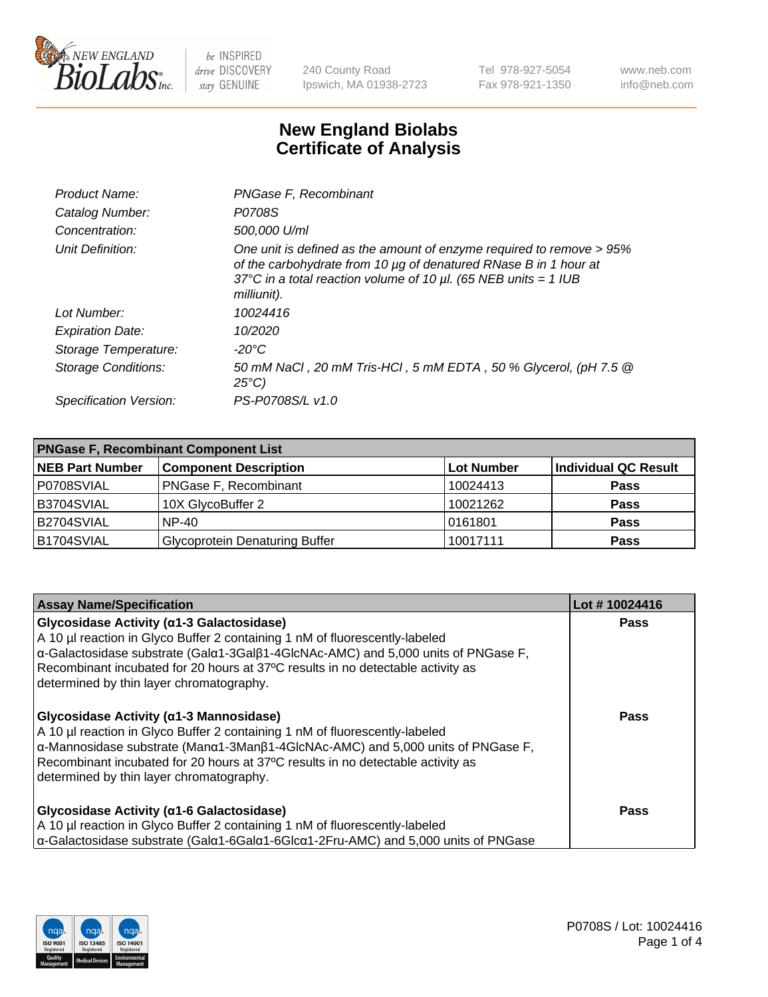

240 County Road Ipswich, MA 01938-2723 Tel 978-927-5054 Fax 978-921-1350 www.neb.com info@neb.com

## **New England Biolabs Certificate of Analysis**

| Product Name:              | PNGase F, Recombinant                                                                                                                                                                                                           |
|----------------------------|---------------------------------------------------------------------------------------------------------------------------------------------------------------------------------------------------------------------------------|
| Catalog Number:            | P0708S                                                                                                                                                                                                                          |
| Concentration:             | 500,000 U/ml                                                                                                                                                                                                                    |
| Unit Definition:           | One unit is defined as the amount of enzyme required to remove > 95%<br>of the carbohydrate from 10 µg of denatured RNase B in 1 hour at<br>37°C in a total reaction volume of 10 $\mu$ l. (65 NEB units = 1 IUB<br>milliunit). |
| Lot Number:                | 10024416                                                                                                                                                                                                                        |
| <b>Expiration Date:</b>    | 10/2020                                                                                                                                                                                                                         |
| Storage Temperature:       | $-20^{\circ}$ C                                                                                                                                                                                                                 |
| <b>Storage Conditions:</b> | 50 mM NaCl, 20 mM Tris-HCl, 5 mM EDTA, 50 % Glycerol, (pH 7.5 @<br>$25^{\circ}C$                                                                                                                                                |
| Specification Version:     | PS-P0708S/L v1.0                                                                                                                                                                                                                |

| <b>PNGase F, Recombinant Component List</b> |                                       |                   |                      |  |
|---------------------------------------------|---------------------------------------|-------------------|----------------------|--|
| <b>NEB Part Number</b>                      | <b>Component Description</b>          | <b>Lot Number</b> | Individual QC Result |  |
| P0708SVIAL                                  | <b>PNGase F, Recombinant</b>          | 10024413          | <b>Pass</b>          |  |
| B3704SVIAL                                  | 10X GlycoBuffer 2                     | 10021262          | <b>Pass</b>          |  |
| B2704SVIAL                                  | $NP-40$                               | 0161801           | <b>Pass</b>          |  |
| B1704SVIAL                                  | <b>Glycoprotein Denaturing Buffer</b> | 10017111          | <b>Pass</b>          |  |

| <b>Assay Name/Specification</b>                                                                                                                                                                                                                                                                                                                                       | Lot #10024416 |
|-----------------------------------------------------------------------------------------------------------------------------------------------------------------------------------------------------------------------------------------------------------------------------------------------------------------------------------------------------------------------|---------------|
| Glycosidase Activity (α1-3 Galactosidase)<br>A 10 µl reaction in Glyco Buffer 2 containing 1 nM of fluorescently-labeled<br>$\alpha$ -Galactosidase substrate (Gal $\alpha$ 1-3Gal $\beta$ 1-4GlcNAc-AMC) and 5,000 units of PNGase F,<br>Recombinant incubated for 20 hours at 37°C results in no detectable activity as<br>determined by thin layer chromatography. | <b>Pass</b>   |
| Glycosidase Activity (α1-3 Mannosidase)<br>A 10 µl reaction in Glyco Buffer 2 containing 1 nM of fluorescently-labeled<br>α-Mannosidase substrate (Manα1-3Manβ1-4GlcNAc-AMC) and 5,000 units of PNGase F,<br>Recombinant incubated for 20 hours at 37°C results in no detectable activity as<br>determined by thin layer chromatography.                              | <b>Pass</b>   |
| Glycosidase Activity (α1-6 Galactosidase)<br>A 10 µl reaction in Glyco Buffer 2 containing 1 nM of fluorescently-labeled<br>$\alpha$ -Galactosidase substrate (Gal $\alpha$ 1-6Gal $\alpha$ 1-6Glc $\alpha$ 1-2Fru-AMC) and 5,000 units of PNGase                                                                                                                     | <b>Pass</b>   |

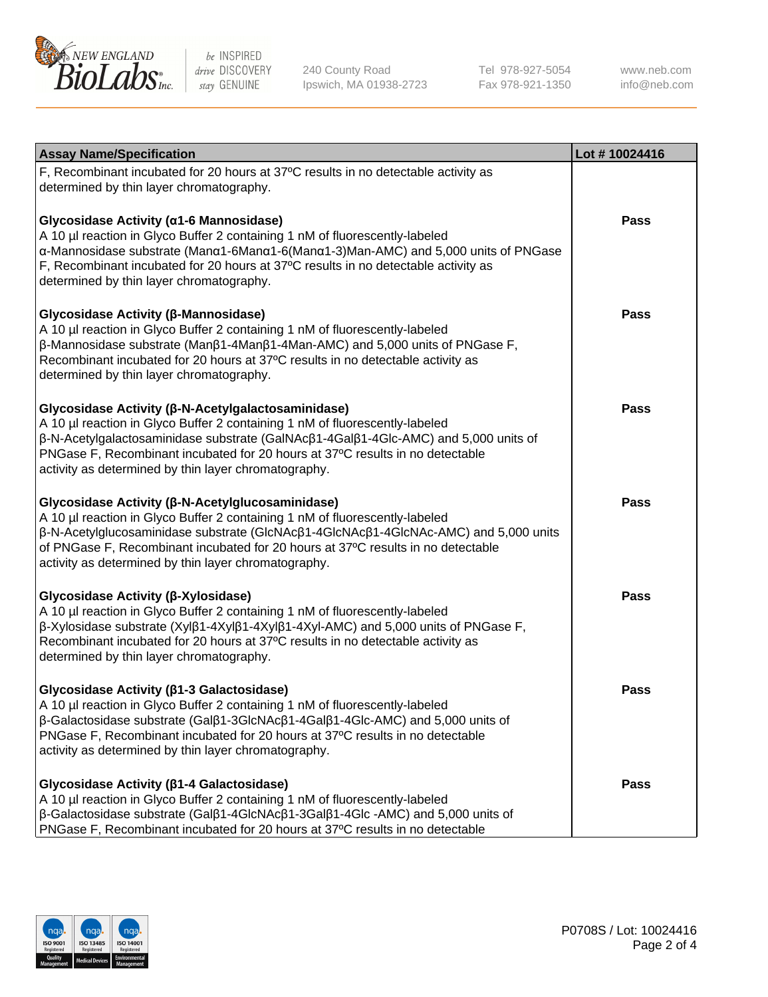

240 County Road Ipswich, MA 01938-2723 Tel 978-927-5054 Fax 978-921-1350

www.neb.com info@neb.com

| <b>Assay Name/Specification</b>                                                                                                                                                                                                                                                                                                                                                    | Lot #10024416 |
|------------------------------------------------------------------------------------------------------------------------------------------------------------------------------------------------------------------------------------------------------------------------------------------------------------------------------------------------------------------------------------|---------------|
| F, Recombinant incubated for 20 hours at 37°C results in no detectable activity as<br>determined by thin layer chromatography.                                                                                                                                                                                                                                                     |               |
| Glycosidase Activity (α1-6 Mannosidase)<br>A 10 µl reaction in Glyco Buffer 2 containing 1 nM of fluorescently-labeled<br>α-Mannosidase substrate (Manα1-6Manα1-6(Manα1-3)Man-AMC) and 5,000 units of PNGase<br>F, Recombinant incubated for 20 hours at 37°C results in no detectable activity as<br>determined by thin layer chromatography.                                     | Pass          |
| Glycosidase Activity (β-Mannosidase)<br>A 10 µl reaction in Glyco Buffer 2 containing 1 nM of fluorescently-labeled<br>$\beta$ -Mannosidase substrate (Man $\beta$ 1-4Man $\beta$ 1-4Man-AMC) and 5,000 units of PNGase F,<br>Recombinant incubated for 20 hours at 37°C results in no detectable activity as<br>determined by thin layer chromatography.                          | <b>Pass</b>   |
| Glycosidase Activity (β-N-Acetylgalactosaminidase)<br>A 10 µl reaction in Glyco Buffer 2 containing 1 nM of fluorescently-labeled<br>β-N-Acetylgalactosaminidase substrate (GalNAcβ1-4Galβ1-4Glc-AMC) and 5,000 units of<br>PNGase F, Recombinant incubated for 20 hours at 37°C results in no detectable<br>activity as determined by thin layer chromatography.                  | <b>Pass</b>   |
| Glycosidase Activity (β-N-Acetylglucosaminidase)<br>A 10 µl reaction in Glyco Buffer 2 containing 1 nM of fluorescently-labeled<br>β-N-Acetylglucosaminidase substrate (GlcNAcβ1-4GlcNAcβ1-4GlcNAc-AMC) and 5,000 units<br>of PNGase F, Recombinant incubated for 20 hours at 37°C results in no detectable<br>activity as determined by thin layer chromatography.                | <b>Pass</b>   |
| Glycosidase Activity (β-Xylosidase)<br>A 10 µl reaction in Glyco Buffer 2 containing 1 nM of fluorescently-labeled<br>$\beta$ -Xylosidase substrate (Xyl $\beta$ 1-4Xyl $\beta$ 1-4Xyl $\beta$ 1-4Xyl-AMC) and 5,000 units of PNGase F,<br>Recombinant incubated for 20 hours at 37°C results in no detectable activity as<br>determined by thin layer chromatography.             | <b>Pass</b>   |
| Glycosidase Activity (β1-3 Galactosidase)<br>A 10 µl reaction in Glyco Buffer 2 containing 1 nM of fluorescently-labeled<br>$\beta$ -Galactosidase substrate (Gal $\beta$ 1-3GlcNAc $\beta$ 1-4Gal $\beta$ 1-4Glc-AMC) and 5,000 units of<br>PNGase F, Recombinant incubated for 20 hours at 37°C results in no detectable<br>activity as determined by thin layer chromatography. | Pass          |
| Glycosidase Activity (β1-4 Galactosidase)<br>A 10 µl reaction in Glyco Buffer 2 containing 1 nM of fluorescently-labeled<br>β-Galactosidase substrate (Galβ1-4GlcNAcβ1-3Galβ1-4Glc -AMC) and 5,000 units of<br>PNGase F, Recombinant incubated for 20 hours at 37°C results in no detectable                                                                                       | Pass          |

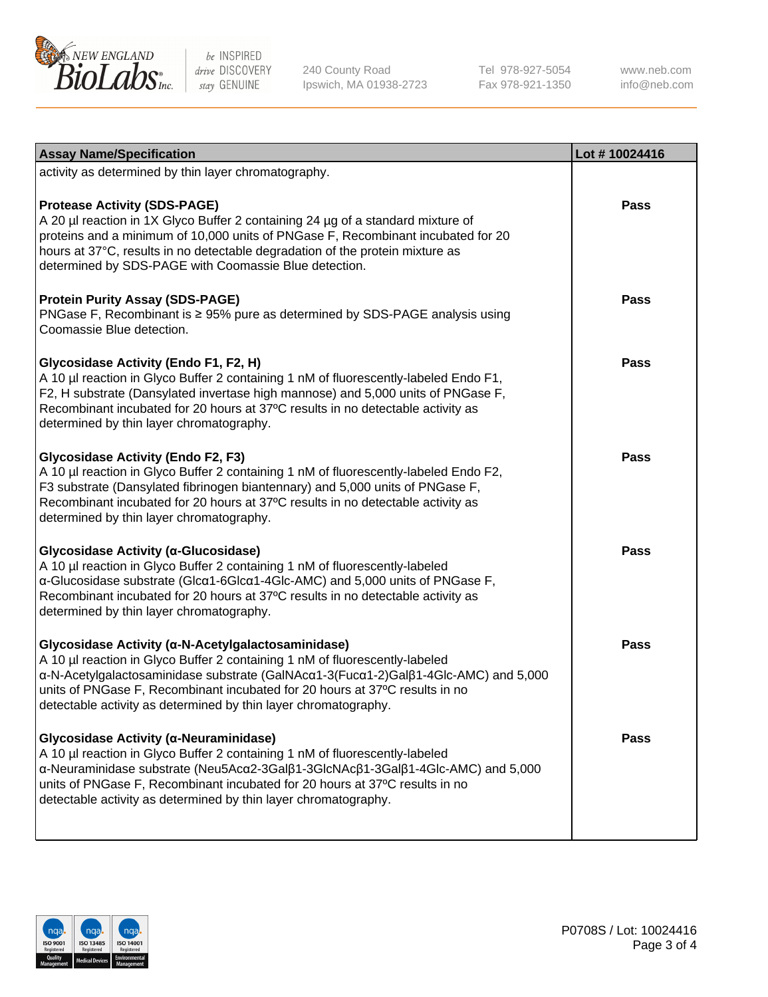

240 County Road Ipswich, MA 01938-2723 Tel 978-927-5054 Fax 978-921-1350 www.neb.com info@neb.com

| <b>Assay Name/Specification</b>                                                                                                                                                                                                                                                                                                                                            | Lot #10024416 |
|----------------------------------------------------------------------------------------------------------------------------------------------------------------------------------------------------------------------------------------------------------------------------------------------------------------------------------------------------------------------------|---------------|
| activity as determined by thin layer chromatography.                                                                                                                                                                                                                                                                                                                       |               |
| <b>Protease Activity (SDS-PAGE)</b><br>A 20 µl reaction in 1X Glyco Buffer 2 containing 24 µg of a standard mixture of<br>proteins and a minimum of 10,000 units of PNGase F, Recombinant incubated for 20<br>hours at 37°C, results in no detectable degradation of the protein mixture as<br>determined by SDS-PAGE with Coomassie Blue detection.                       | <b>Pass</b>   |
| <b>Protein Purity Assay (SDS-PAGE)</b><br>PNGase F, Recombinant is ≥ 95% pure as determined by SDS-PAGE analysis using<br>Coomassie Blue detection.                                                                                                                                                                                                                        | <b>Pass</b>   |
| Glycosidase Activity (Endo F1, F2, H)<br>A 10 µl reaction in Glyco Buffer 2 containing 1 nM of fluorescently-labeled Endo F1,<br>F2, H substrate (Dansylated invertase high mannose) and 5,000 units of PNGase F,<br>Recombinant incubated for 20 hours at 37°C results in no detectable activity as<br>determined by thin layer chromatography.                           | <b>Pass</b>   |
| <b>Glycosidase Activity (Endo F2, F3)</b><br>A 10 µl reaction in Glyco Buffer 2 containing 1 nM of fluorescently-labeled Endo F2,<br>F3 substrate (Dansylated fibrinogen biantennary) and 5,000 units of PNGase F,<br>Recombinant incubated for 20 hours at 37°C results in no detectable activity as<br>determined by thin layer chromatography.                          | <b>Pass</b>   |
| Glycosidase Activity (α-Glucosidase)<br>A 10 µl reaction in Glyco Buffer 2 containing 1 nM of fluorescently-labeled<br>α-Glucosidase substrate (Glcα1-6Glcα1-4Glc-AMC) and 5,000 units of PNGase F,<br>Recombinant incubated for 20 hours at 37°C results in no detectable activity as<br>determined by thin layer chromatography.                                         | <b>Pass</b>   |
| Glycosidase Activity (α-N-Acetylgalactosaminidase)<br>A 10 µl reaction in Glyco Buffer 2 containing 1 nM of fluorescently-labeled<br>α-N-Acetylgalactosaminidase substrate (GalNAcα1-3(Fucα1-2)Galβ1-4Glc-AMC) and 5,000<br>units of PNGase F, Recombinant incubated for 20 hours at 37°C results in no<br>detectable activity as determined by thin layer chromatography. | <b>Pass</b>   |
| Glycosidase Activity (α-Neuraminidase)<br>A 10 µl reaction in Glyco Buffer 2 containing 1 nM of fluorescently-labeled<br>α-Neuraminidase substrate (Neu5Acα2-3Galβ1-3GlcNAcβ1-3Galβ1-4Glc-AMC) and 5,000<br>units of PNGase F, Recombinant incubated for 20 hours at 37°C results in no<br>detectable activity as determined by thin layer chromatography.                 | <b>Pass</b>   |